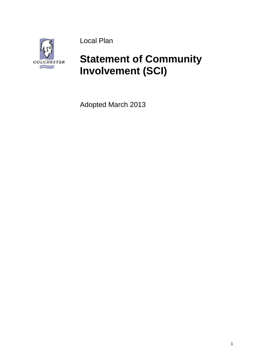

Local Plan

# **Statement of Community Involvement (SCI)**

Adopted March 2013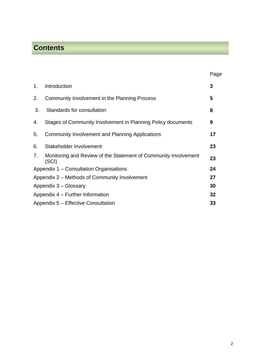# **Contents**

|                |                                                                          | Page |
|----------------|--------------------------------------------------------------------------|------|
| $\mathbf{1}$ . | Introduction                                                             | 3    |
| 2.             | Community Involvement in the Planning Process                            | 5    |
| 3.             | Standards for consultation                                               | 8    |
| 4.             | Stages of Community Involvement in Planning Policy documents             | 9    |
| 5.             | Community Involvement and Planning Applications                          | 17   |
| 6.             | Stakeholder Involvement                                                  | 23   |
| 7.             | Monitoring and Review of the Statement of Community Involvement<br>(SCI) | 23   |
|                | Appendix 1 – Consultation Organisations                                  | 24   |
|                | Appendix 2 – Methods of Community Involvement                            | 27   |
|                | Appendix 3 - Glossary                                                    | 30   |
|                | Appendix 4 – Further Information                                         | 32   |
|                | Appendix 5 – Effective Consultation                                      | 33   |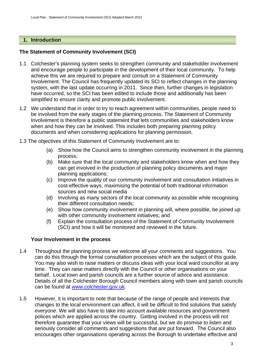# **1. Introduction**

# **The Statement of Community Involvement (SCI)**

- 1.1 Colchester's planning system seeks to strengthen community and stakeholder involvement and encourage people to participate in the development of their local community. To help achieve this we are required to prepare and consult on a Statement of Community Involvement. The Council has frequently updated its SCI to reflect changes in the planning system, with the last update occurring in 2011. Since then, further changes in legislation have occurred, so the SCI has been edited to include those and additionally has been simplified to ensure clarity and promote public involvement.
- 1.2 We understand that in order to try to reach agreement within communities, people need to be involved from the early stages of the planning process. The Statement of Community Involvement is therefore a public statement that lets communities and stakeholders know when and how they can be involved. This includes both preparing planning policy documents and when considering applications for planning permission.
- 1.3 The objectives of this Statement of Community Involvement are to:
	- (a) Show how the Council aims to strengthen community involvement in the planning process;
	- (b) Make sure that the local community and stakeholders know when and how they can get involved in the production of planning policy documents and major planning applications;
	- (c) Improve the quality of our community involvement and consultation initiatives in cost-effective ways, maximising the potential of both traditional information sources and new social media
	- (d) Involving as many sectors of the local community as possible while recognising their different consultation needs;
	- (e) Show how community involvement in planning will, where possible, be joined up with other community involvement initiatives; and
	- (f) Explain the consultation process of the Statement of Community Involvement (SCI) and how it will be monitored and reviewed in the future.

# **Your Involvement in the process**

- 1.4 Throughout the planning process we welcome all your comments and suggestions. You can do this through the formal consultation processes which are the subject of this guide. You may also wish to raise matters or discuss ideas with your local ward councillor at any time. They can raise matters directly with the Council or other organisations on your behalf. Local town and parish councils are a further source of advice and assistance. Details of all the Colchester Borough Council members along with town and parish councils can be found at [www.colchester.gov.uk.](http://www.colchester.gov.uk/)
- 1.5 However, it is important to note that because of the range of people and interests that changes to the local environment can affect, it will be difficult to find solutions that satisfy everyone. We will also have to take into account available resources and government polices which are applied across the country. Getting involved in the process will not therefore guarantee that your views will be successful, but we do promise to listen and seriously consider all comments and suggestions that are put forward. The Council also encourages other organisations operating across the Borough to undertake effective and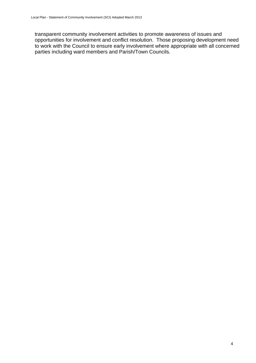transparent community involvement activities to promote awareness of issues and opportunities for involvement and conflict resolution. Those proposing development need to work with the Council to ensure early involvement where appropriate with all concerned parties including ward members and Parish/Town Councils.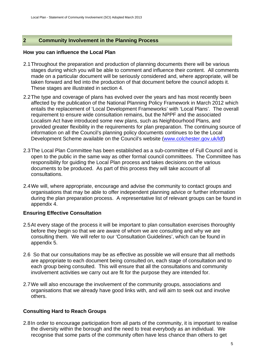# **2 Community Involvement in the Planning Process**

#### **How you can influence the Local Plan**

- 2.1 Throughout the preparation and production of planning documents there will be various stages during which you will be able to comment and influence their content. All comments made on a particular document will be seriously considered and, where appropriate, will be taken forward and fed into the production of that document before the council adopts it. These stages are illustrated in section 4.
- 2.2 The type and coverage of plans has evolved over the years and has most recently been affected by the publication of the National Planning Policy Framework in March 2012 which entails the replacement of 'Local Development Frameworks' with 'Local Plans'. The overall requirement to ensure wide consultation remains, but the NPPF and the associated Localism Act have introduced some new plans, such as Neighbourhood Plans, and provided greater flexibility in the requirements for plan preparation. The continuing source of information on all the Council's planning policy documents continues to be the Local Development Scheme available on the Council's website [\(www.colchester.gov.uk/ldf\)](http://www.colchester.gov.uk/ldf)
- 2.3 The Local Plan Committee has been established as a sub-committee of Full Council and is open to the public in the same way as other formal council committees. The Committee has responsibility for guiding the Local Plan process and takes decisions on the various documents to be produced. As part of this process they will take account of all consultations.
- 2.4 We will, where appropriate, encourage and advise the community to contact groups and organisations that may be able to offer independent planning advice or further information during the plan preparation process. A representative list of relevant groups can be found in appendix 4.

# **Ensuring Effective Consultation**

- 2.5 At every stage of the process it will be important to plan consultation exercises thoroughly before they begin so that we are aware of whom we are consulting and why we are consulting them. We will refer to our 'Consultation Guidelines', which can be found in appendix 5.
- 2.6 So that our consultations may be as effective as possible we will ensure that all methods are appropriate to each document being consulted on, each stage of consultation and to each group being consulted. This will ensure that all the consultations and community involvement activities we carry out are fit for the purpose they are intended for.
- 2.7 We will also encourage the involvement of the community groups, associations and organisations that we already have good links with, and will aim to seek out and involve others.

# **Consulting Hard to Reach Groups**

2.8 In order to encourage participation from all parts of the community, it is important to realise the diversity within the borough and the need to treat everybody as an individual. We recognise that some parts of the community often have less chance than others to get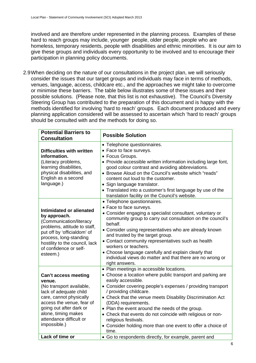involved and are therefore under represented in the planning process. Examples of these hard to reach groups may include, younger people, older people, people who are homeless, temporary residents, people with disabilities and ethnic minorities. It is our aim to give these groups and individuals every opportunity to be involved and to encourage their participation in planning policy documents.

2.9 When deciding on the nature of our consultations in the project plan, we will seriously consider the issues that our target groups and individuals may face in terms of methods, venues, language, access, childcare etc., and the approaches we might take to overcome or minimise these barriers. The table below illustrates some of these issues and their possible solutions. (Please note, that this list is not exhaustive). The Council's Diversity Steering Group has contributed to the preparation of this document and is happy with the methods identified for involving 'hard to reach' groups. Each document produced and every planning application considered will be assessed to ascertain which 'hard to reach' groups should be consulted with and the methods for doing so.

| <b>Possible Solution</b>                                                                                                                                                                                                                                                                                                                                                                                                                                                                                                                                                             |  |  |
|--------------------------------------------------------------------------------------------------------------------------------------------------------------------------------------------------------------------------------------------------------------------------------------------------------------------------------------------------------------------------------------------------------------------------------------------------------------------------------------------------------------------------------------------------------------------------------------|--|--|
| • Telephone questionnaires.<br>• Face to face surveys.<br>• Focus Groups.<br>• Provide accessible written information including large font,<br>good colour contrast and avoiding abbreviations.<br>• Browse Aloud on the Council's website which "reads"<br>content out loud to the customer.<br>• Sign language translator.<br>• Translated into a customer's first language by use of the<br>translation facility on the Council's website.                                                                                                                                        |  |  |
| • Telephone questionnaires.<br>• Face to face surveys.<br>• Consider engaging a specialist consultant, voluntary or<br>community group to carry out consultation on the council's<br>behalf.<br>• Consider using representatives who are already known<br>and trusted by the target group.<br>• Contact community representatives such as health<br>workers or teachers.<br>• Choose language carefully and explain clearly that<br>individual views do matter and that there are no wrong or<br>right answers.                                                                      |  |  |
| • Plan meetings in accessible locations.<br>• Choose a location where public transport and parking are<br>easily accessible.<br>• Consider covering people's expenses / providing transport<br>/ providing childcare.<br>• Check that the venue meets Disability Discrimination Act<br>(DDA) requirements.<br>• Plan the event around the needs of the group.<br>• Check that events do not coincide with religious or non-<br>religious festivals.<br>• Consider holding more than one event to offer a choice of<br>time.<br>• Go to respondents directly, for example, parent and |  |  |
|                                                                                                                                                                                                                                                                                                                                                                                                                                                                                                                                                                                      |  |  |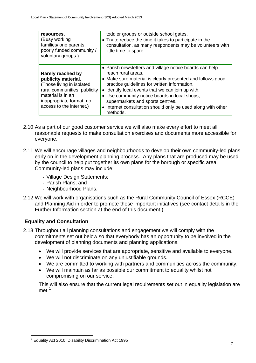| resources.<br>(Busy working<br>families/lone parents,<br>poorly funded community /<br>voluntary groups.)                                                                           | toddler groups or outside school gates.<br>• Try to reduce the time it takes to participate in the<br>consultation, as many respondents may be volunteers with<br>little time to spare.                                                                                                                                                                                                                           |
|------------------------------------------------------------------------------------------------------------------------------------------------------------------------------------|-------------------------------------------------------------------------------------------------------------------------------------------------------------------------------------------------------------------------------------------------------------------------------------------------------------------------------------------------------------------------------------------------------------------|
| Rarely reached by<br>publicity material.<br>(Those living in isolated<br>rural communities, publicity<br>material is in an<br>inappropriate format, no<br>access to the internet.) | • Parish newsletters and village notice boards can help<br>reach rural areas.<br>• Make sure material is clearly presented and follows good<br>practice guidelines for written information.<br>• Identify local events that we can join up with.<br>• Use community notice boards in local shops,<br>supermarkets and sports centres.<br>• Internet consultation should only be used along with other<br>methods. |

- 2.10 As a part of our good customer service we will also make every effort to meet all reasonable requests to make consultation exercises and documents more accessible for everyone.
- 2.11 We will encourage villages and neighbourhoods to develop their own community-led plans early on in the development planning process. Any plans that are produced may be used by the council to help put together its own plans for the borough or specific area. Community-led plans may include:
	- Village Design Statements;
	- Parish Plans; and
	- Neighbourhood Plans.
- 2.12 We will work with organisations such as the Rural Community Council of Essex (RCCE) and Planning Aid in order to promote these important initiatives (see contact details in the Further Information section at the end of this document.)

# **Equality and Consultation**

- 2.13 Throughout all planning consultations and engagement we will comply with the commitments set out below so that everybody has an opportunity to be involved in the development of planning documents and planning applications.
	- We will provide services that are appropriate, sensitive and available to everyone.
	- We will not discriminate on any unjustifiable grounds.
	- We are committed to working with partners and communities across the community.
	- We will maintain as far as possible our commitment to equality whilst not compromising on our service.

This will also ensure that the current legal requirements set out in equality legislation are met.<sup>[1](#page-6-0)</sup>

<span id="page-6-0"></span><sup>1</sup> <sup>1</sup> Equality Act 2010, Disability Discrimination Act 1995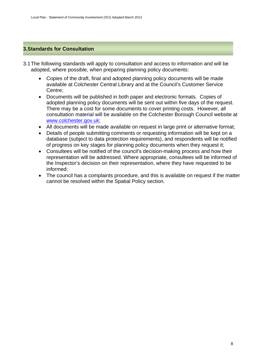# **3.Standards for Consultation**

- 3.1 The following standards will apply to consultation and access to information and will be adopted, where possible, when preparing planning policy documents:
	- Copies of the draft, final and adopted planning policy documents will be made available at Colchester Central Library and at the Council's Customer Service Centre;
	- Documents will be published in both paper and electronic formats. Copies of adopted planning policy documents will be sent out within five days of the request. There may be a cost for some documents to cover printing costs. However, all consultation material will be available on the Colchester Borough Council website at [www.colchester.gov.uk;](http://www.colchester.gov.uk/)
	- All documents will be made available on request in large print or alternative format;
	- Details of people submitting comments or requesting information will be kept on a database (subject to data protection requirements), and respondents will be notified of progress on key stages for planning policy documents when they request it;
	- Consultees will be notified of the council's decision-making process and how their representation will be addressed. Where appropriate, consultees will be informed of the Inspector's decision on their representation, where they have requested to be informed;
	- The council has a complaints procedure, and this is available on request if the matter cannot be resolved within the Spatial Policy section.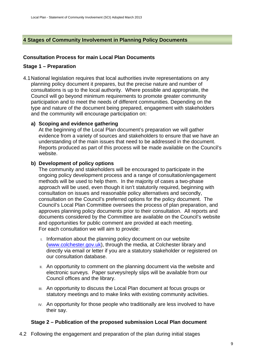# **4 Stages of Community Involvement in Planning Policy Documents**

# **Consultation Process for main Local Plan Documents**

### **Stage 1 – Preparation**

4.1 National legislation requires that local authorities invite representations on any planning policy document it prepares, but the precise nature and number of consultations is up to the local authority. Where possible and appropriate, the Council will go beyond minimum requirements to promote greater community participation and to meet the needs of different communities. Depending on the type and nature of the document being prepared, engagement with stakeholders and the community will encourage participation on:

#### **a) Scoping and evidence gathering**

At the beginning of the Local Plan document's preparation we will gather evidence from a variety of sources and stakeholders to ensure that we have an understanding of the main issues that need to be addressed in the document. Reports produced as part of this process will be made available on the Council's website.

#### **b) Development of policy options**

The community and stakeholders will be encouraged to participate in the ongoing policy development process and a range of consultation/engagement methods will be used to help them. In the majority of cases a two-phase approach will be used, even though it isn't statutorily required, beginning with consultation on issues and reasonable policy alternatives and secondly, consultation on the Council's preferred options for the policy document. The Council's Local Plan Committee oversees the process of plan preparation, and approves planning policy documents prior to their consultation. All reports and documents considered by the Committee are available on the Council's website and opportunities for public comment are provided at each meeting. For each consultation we will aim to provide:

- $\mu$ . Information about the planning policy document on our website ([www.colchester.gov.uk\)](http://www.colchester.gov.uk/), through the media, at Colchester library and directly via email or letter if you are a statutory stakeholder or registered on our consultation database.
- II. An opportunity to comment on the planning document via the website and electronic surveys. Paper surveys/reply slips will be available from our Council offices and the library.
- III. An opportunity to discuss the Local Plan document at focus groups or statutory meetings and to make links with existing community activities.
- IV. An opportunity for those people who traditionally are less involved to have their say.

# **Stage 2 – Publication of the proposed submission Local Plan document**

4.2 Following the engagement and preparation of the plan during initial stages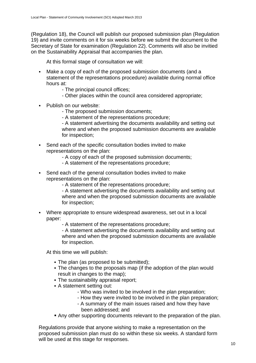(Regulation 18), the Council will publish our proposed submission plan (Regulation 19) and invite comments on it for six weeks before we submit the document to the Secretary of State for examination (Regulation 22). Comments will also be invitied on the Sustainability Appraisal that accompanies the plan.

At this formal stage of consultation we will:

- Make a copy of each of the proposed submission documents (and a statement of the representations procedure) available during normal office hours at:
	- The principal council offices;
	- Other places within the council area considered appropriate;
- Publish on our website:
	- The proposed submission documents;
	- A statement of the representations procedure;

 - A statement advertising the documents availability and setting out where and when the proposed submission documents are available for inspection;

- Send each of the specific consultation bodies invited to make representations on the plan:
	- A copy of each of the proposed submission documents;
	- A statement of the representations procedure;
- Send each of the general consultation bodies invited to make representations on the plan:
	- A statement of the representations procedure;

 - A statement advertising the documents availability and setting out where and when the proposed submission documents are available for inspection;

- Where appropriate to ensure widespread awareness, set out in a local paper:
	- A statement of the representations procedure;

 - A statement advertising the documents availability and setting out where and when the proposed submission documents are available for inspection.

At this time we will publish:

- The plan (as proposed to be submitted):
- The changes to the proposals map (if the adoption of the plan would result in changes to the map);
- The sustainability appraisal report;
- A statement setting out:
	- Who was invited to be involved in the plan preparation;
	- How they were invited to be involved in the plan preparation;
	- A summary of the main issues raised and how they have been addressed; and
- Any other supporting documents relevant to the preparation of the plan.

Regulations provide that anyone wishing to make a representation on the proposed submission plan must do so within these six weeks. A standard form will be used at this stage for responses.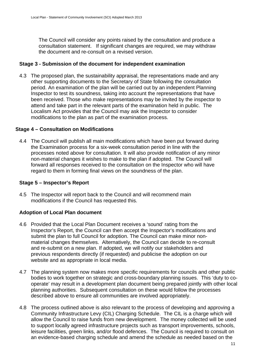The Council will consider any points raised by the consultation and produce a consultation statement. If significant changes are required, we may withdraw the document and re-consult on a revised version.

# **Stage 3 - Submission of the document for independent examination**

4.3 The proposed plan, the sustainability appraisal, the representations made and any other supporting documents to the Secretary of State following the consultation period. An examination of the plan will be carried out by an independent Planning Inspector to test its soundness, taking into account the representations that have been received. Those who make representations may be invited by the inspector to attend and take part in the relevant parts of the examination held in public. The Localism Act provides that the Council may ask the Inspector to consider modifications to the plan as part of the examination process.

#### **Stage 4 – Consultation on Modifications**

4.4 The Council will publish all main modifications which have been put forward during the Examination process for a six-week consultation period in line with the processes noted above for consultation. It will also provide notification of any minor non-material changes it wishes to make to the plan if adopted. The Council will forward all responses received to the consultation on the Inspector who will have regard to them in forming final views on the soundness of the plan.

### **Stage 5 – Inspector's Report**

4.5 The Inspector will report back to the Council and will recommend main modifications if the Council has requested this.

# **Adoption of Local Plan document**

- 4.6 Provided that the Local Plan Document receives a 'sound' rating from the Inspector's Report, the Council can then accept the Inspector's modifications and submit the plan to full Council for adoption. The Council can make minor nonmaterial changes themselves. Alternatively, the Council can decide to re-consult and re-submit on a new plan. If adopted, we will notify our stakeholders and previous respondents directly (if requested) and publicise the adoption on our website and as appropriate in local media.
- 4.7 The planning system now makes more specific requirements for councils and other public bodies to work together on strategic and cross-boundary planning issues. This 'duty to cooperate' may result in a development plan document being prepared jointly with other local planning authorities. Subsequent consultation on these would follow the processes described above to ensure all communities are involved appropriately.
- 4.8 The process outlined above is also relevant to the process of developing and approving a Community Infrastructure Levy (CIL) Charging Schedule. The CIL is a charge which will allow the Council to raise funds from new development. The money collected will be used to support locally agreed infrastructure projects such as transport improvements, schools, leisure facilities, green links, and/or flood defences. The Council is required to consult on an evidence-based charging schedule and amend the schedule as needed based on the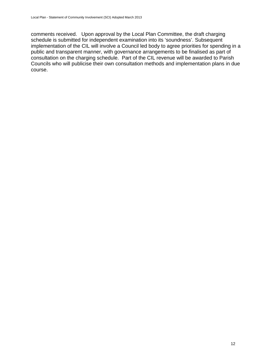comments received. Upon approval by the Local Plan Committee, the draft charging schedule is submitted for independent examination into its 'soundness'. Subsequent implementation of the CIL will involve a Council led body to agree priorities for spending in a public and transparent manner, with governance arrangements to be finalised as part of consultation on the charging schedule. Part of the CIL revenue will be awarded to Parish Councils who will publicise their own consultation methods and implementation plans in due course.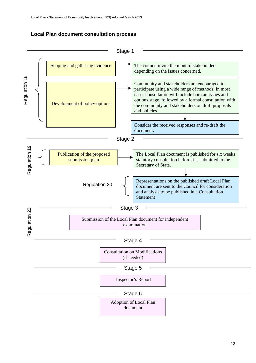# **Local Plan document consultation process**

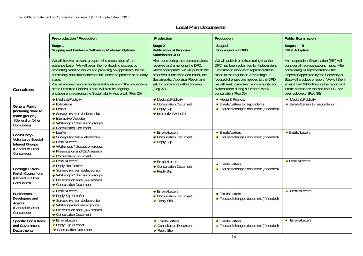|                                                                                                  | <b>Pre-production / Production</b>                                                                                                                                                                                                                                                                                                                                                                                                                             | Production                                                                                                                                                                                                                                    | <b>Production</b>                                                                                                                                                                                                                                                                                                              | <b>Public Examination</b>                                                                                                                                                                                                                                                                                                         |
|--------------------------------------------------------------------------------------------------|----------------------------------------------------------------------------------------------------------------------------------------------------------------------------------------------------------------------------------------------------------------------------------------------------------------------------------------------------------------------------------------------------------------------------------------------------------------|-----------------------------------------------------------------------------------------------------------------------------------------------------------------------------------------------------------------------------------------------|--------------------------------------------------------------------------------------------------------------------------------------------------------------------------------------------------------------------------------------------------------------------------------------------------------------------------------|-----------------------------------------------------------------------------------------------------------------------------------------------------------------------------------------------------------------------------------------------------------------------------------------------------------------------------------|
|                                                                                                  | Stage 1<br>Scoping and Evidence Gathering, Preferred Options                                                                                                                                                                                                                                                                                                                                                                                                   | Stage 2<br><b>Publication of Proposed</b><br><b>Submission DPD</b>                                                                                                                                                                            | Stage 3<br><b>Submission of DPD</b>                                                                                                                                                                                                                                                                                            | Stages $4 - 6$<br><b>EIP &amp; Adoption</b>                                                                                                                                                                                                                                                                                       |
| <b>Consultees</b>                                                                                | We will involve relevant groups in the preparation of the<br>evidence base. We will begin the frontloading process by<br>promoting planning issues and providing an opportunity for the<br>community and stakeholders to influence the process at an early<br>stage.<br>We will involve the community & stakeholders in the preparation<br>of the Preferred Options. There will also be ongoing<br>engagement regarding the Sustainability Appraisal. (Reg 25) | After considering the representations<br>received and amending the DPD,<br>where appropriate, we will publish the<br>proposed submission document, the<br>Sustainability Appraisal Report and<br>ask for comments within 6 weeks.<br>(Reg 27) | We will publish a notice stating that the<br>DPD has been submitted for Independent<br>Examination along with representations<br>made at the regulation 27/28 stage. If<br>focused changes are needed to the DPD<br>we will seek to involve the community and<br>stakeholders during a further 6 week<br>consultation.(Reg 30) | An Independent Examination (EIP) will<br>consider all representations made. After<br>considering all representations the<br>Inspector appointed by the Secretary of<br>State will produce a report. We will then<br>amend the DPD following this report and<br>inform consultees that the final SCI has<br>been adopted. (Reg 36) |
| General Public<br>(including 'hard to<br>reach groups')<br>(General or Other<br>Consultees)      | Media & Publicity<br>$\div$ Exhibitions<br><b>Leaflet</b><br>Surveys (written & electronic)<br>Interactive Website<br>• Workshops / discussion groups<br>Consultation Document                                                                                                                                                                                                                                                                                 | $\blacktriangleright$ Media & Publicity<br>Consultation Document<br>$\blacktriangleright$ Reply Slip<br>$\rightarrow$ Interactive Website                                                                                                     | Media & Publicity<br>$\div$ Emails/Letters to respondents<br>Focused changes document (if needed)                                                                                                                                                                                                                              | $\bullet$ Media & Publicity<br>$\blacktriangleright$ Emails/Letters to respondents                                                                                                                                                                                                                                                |
| Community /<br>Voluntary / Special<br><b>Interest Groups</b><br>(General or Other<br>Consultees) | $\blacktriangleright$ Leaflet<br>Surveys (written & electronic)<br>Emails/Letters<br>- Workshops / discussion groups<br>Presentation and Q&A session<br>Consultation Document                                                                                                                                                                                                                                                                                  | Emails/Letters<br>Consultation Document<br>$\rightarrow$ Reply Slip                                                                                                                                                                           | Emails/Letters<br>← Focused changes document (if needed)                                                                                                                                                                                                                                                                       | Emails/Letters                                                                                                                                                                                                                                                                                                                    |
| Borough / Town /<br><b>Parish Councillors</b><br>(General or Other<br>Consultees)                | Emails/Letters<br>Reply slip / leaflet<br>Surveys (written & electronic)<br>- Workshops / discussion groups<br>← Presentation and Q&A session<br>Consultation Document                                                                                                                                                                                                                                                                                         | Emails/Letters<br>Consultation Document<br>$\rightarrow$ Reply Slip                                                                                                                                                                           | Emails/Letters<br>← Focused changes document (if needed)                                                                                                                                                                                                                                                                       | Emails/Letters                                                                                                                                                                                                                                                                                                                    |
| Businesses /<br>Developers and<br>Agents<br>(General or Other<br>Consultees)                     | Emails/Letters<br>Reply Slip / Leaflet<br>Surveys (written & electronic)<br><b>Workshop/discussion groups</b><br>← Presentation and Q&A session<br>Consultation Document                                                                                                                                                                                                                                                                                       | Emails/Letters<br>Consultation Document<br>Reply Slip                                                                                                                                                                                         | Emails/Letters<br>← Focused changes document (if needed)                                                                                                                                                                                                                                                                       | ← Emails/Letters                                                                                                                                                                                                                                                                                                                  |
| <b>Specific Consultees</b><br>and Government<br><b>Departments</b>                               | Emails/Letters<br>Reply Slip / Leaflet<br>Consultation Document                                                                                                                                                                                                                                                                                                                                                                                                | Emails/Letters<br>Consultation Document<br>$\rightarrow$ Reply Slip                                                                                                                                                                           | Emails/Letters<br>← Focused changes document (if needed)                                                                                                                                                                                                                                                                       | <b>Emails/Letters</b>                                                                                                                                                                                                                                                                                                             |

### **Local Plan Documents**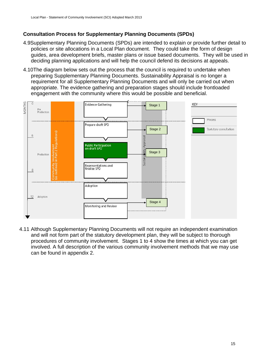# **Consultation Process for Supplementary Planning Documents (SPDs)**

- 4.9Supplementary Planning Documents (SPDs) are intended to explain or provide further detail to policies or site allocations in a Local Plan document. They could take the form of design guides, area development briefs, master plans or issue based documents. They will be used in deciding planning applications and will help the council defend its decisions at appeals.
- 4.10The diagram below sets out the process that the council is required to undertake when preparing Supplementary Planning Documents. Sustainability Appraisal is no longer a requirement for all Supplementary Planning Documents and will only be carried out when appropriate. The evidence gathering and preparation stages should include frontloaded engagement with the community where this would be possible and beneficial.



4.11 Although Supplementary Planning Documents will not require an independent examination and will not form part of the statutory development plan, they will be subject to thorough procedures of community involvement. Stages 1 to 4 show the times at which you can get involved. A full description of the various community involvement methods that we may use can be found in appendix 2.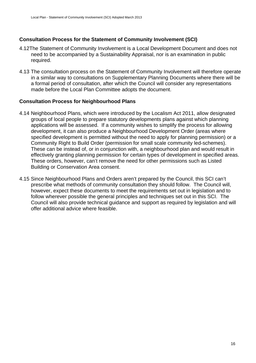# **Consultation Process for the Statement of Community Involvement (SCI)**

- 4.12The Statement of Community Involvement is a Local Development Document and does not need to be accompanied by a Sustainability Appraisal, nor is an examination in public required.
- 4.13 The consultation process on the Statement of Community Involvement will therefore operate in a similar way to consultations on Supplementary Planning Documents where there will be a formal period of consultation, after which the Council will consider any representations made before the Local Plan Committee adopts the document.

# **Consultation Process for Neighbourhood Plans**

- 4.14 Neighbourhood Plans, which were introduced by the Localism Act 2011, allow designated groups of local people to prepare statutory developments plans against which planning applications will be assessed. If a community wishes to simplify the process for allowing development, it can also produce a Neighbourhood Development Order (areas where specified development is permitted without the need to apply for planning permission) or a Community Right to Build Order (permission for small scale community led-schemes). These can be instead of, or in conjunction with, a neighbourhood plan and would result in effectively granting planning permission for certain types of development in specified areas. These orders, however, can't remove the need for other permissions such as Listed Building or Conservation Area consent.
- 4.15 Since Neighbourhood Plans and Orders aren't prepared by the Council, this SCI can't prescribe what methods of community consultation they should follow. The Council will, however, expect these documents to meet the requirements set out in legislation and to follow wherever possible the general principles and techniques set out in this SCI. The Council will also provide technical guidance and support as required by legislation and will offer additional advice where feasible.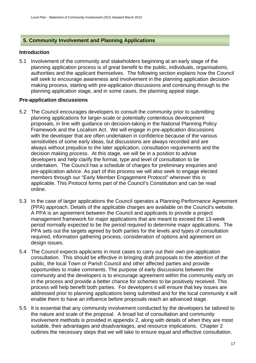# **5. Community Involvement and Planning Applications**

# **Introduction**

5.1 Involvement of the community and stakeholders beginning at an early stage of the planning application process is of great benefit to the public, individuals, organisations, authorities and the applicant themselves. The following section explains how the Council will seek to encourage awareness and involvement in the planning application decisionmaking process, starting with pre-application discussions and continuing through to the planning application stage, and in some cases, the planning appeal stage.

# **Pre-application discussions**

- 5.2 The Council encourages developers to consult the community prior to submitting planning applications for larger-scale or potentially contentious development proposals, in line with guidance on decision-taking in the National Planning Policy Framework and the Localism Act. We will engage in pre-application discussions with the developer that are often undertaken in confidence because of the various sensitivities of some early ideas, but discussions are always recorded and are always without prejudice to the later application, consultation requirements and the decision making process. At this stage, we will be in a position to advise developers and help clarify the format, type and level of consultation to be undertaken. The Council has a schedule of charges for preliminary enquiries and pre-application advice. As part of this process we will also seek to engage elected members through our "Early Member Engagement Protocol" wherever this is applicable. This Protocol forms part of the Council's Constitution and can be read online.
- 5.3 In the case of larger applications the Council operates a Planning Performance Agreement (PPA) approach. Details of the applicable charges are available on the Council's website. A PPA is an agreement between the Council and applicants to provide a project management framework for major applications that are meant to exceed the 13-week period normally expected to be the period required to determine major applications. The PPA sets out the targets agreed by both parties for the levels and types of consultation required, information gathering process, consideration of options and agreement on design issues.
- 5.4 The Council expects applicants in most cases to carry out their own pre-application consultation. This should be effective in bringing draft proposals to the attention of the public, the local Town or Parish Council and other affected parties and provide opportunities to make comments. The purpose of early discussions between the community and the developers is to encourage agreement within the community early on in the process and provide a better chance for schemes to be positively received. This process will help benefit both parties. For developers it will ensure that key issues are addressed prior to planning applications being submitted and for the local community it will enable them to have an influence before proposals reach an advanced stage.
- 5.5 It is essential that any community involvement conducted by the developers be tailored to the nature and scale of the proposal. A broad list of consultation and community involvement methods is provided in appendix 2, along with details of when they are most suitable, their advantages and disadvantages, and resource implications. Chapter 2 outlines the necessary steps that we will take to ensure equal and effective consultation.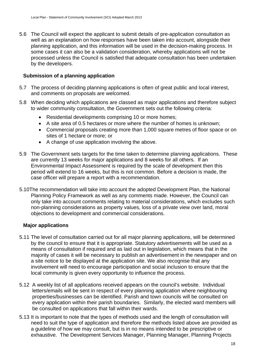5.6 The Council will expect the applicant to submit details of pre-application consultation as well as an explanation on how responses have been taken into account, alongside their planning application, and this information will be used in the decision-making process. In some cases it can also be a validation consideration, whereby applications will not be processed unless the Council is satisfied that adequate consultation has been undertaken by the developers.

# **Submission of a planning application**

- 5.7 The process of deciding planning applications is often of great public and local interest, and comments on proposals are welcomed.
- 5.8 When deciding which applications are classed as major applications and therefore subject to wider community consultation, the Government sets out the following criteria:
	- Residential developments comprising 10 or more homes;
	- A site area of 0.5 hectares or more where the number of homes is unknown;
	- Commercial proposals creating more than 1,000 square metres of floor space or on sites of 1 hectare or more; or
	- A change of use application involving the above.
- 5.9 The Government sets targets for the time taken to determine planning applications. These are currently 13 weeks for major applications and 8 weeks for all others. If an Environmental Impact Assessment is required by the scale of development then this period will extend to 16 weeks, but this is not common. Before a decision is made, the case officer will prepare a report with a recommendation.
- 5.10The recommendation will take into account the adopted Development Plan, the National Planning Policy Framework as well as any comments made. However, the Council can only take into account comments relating to material considerations, which excludes such non-planning considerations as property values, loss of a private view over land, moral objections to development and commercial considerations.

# **Major applications**

- 5.11 The level of consultation carried out for all major planning applications, will be determined by the council to ensure that it is appropriate. Statutory advertisements will be used as a means of consultation if required and as laid out in legislation, which means that in the majority of cases it will be necessary to publish an advertisement in the newspaper and on a site notice to be displayed at the application site. We also recognise that any involvement will need to encourage participation and social inclusion to ensure that the local community is given every opportunity to influence the process.
- 5.12 A weekly list of all applications received appears on the council's website. Individual letters/emails will be sent in respect of every planning application where neighbouring properties/businesses can be identified. Parish and town councils will be consulted on every application within their parish boundaries. Similarly, the elected ward members will be consulted on applications that fall within their wards.
- 5.13 It is important to note that the types of methods used and the length of consultation will need to suit the type of application and therefore the methods listed above are provided as a guideline of how we may consult, but is in no means intended to be prescriptive or exhaustive. The Development Services Manager, Planning Manager, Planning Projects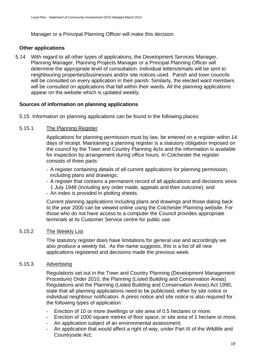Manager or a Principal Planning Officer will make this decision.

# **Other applications**

5.14 With regard to all other types of applications, the Development Services Manager, Planning Manager, Planning Projects Manager or a Principal Planning Officer will determine the appropriate level of consultation. Individual letters/emails will be sent to neighbouring properties/businesses and/or site notices used. Parish and town councils will be consulted on every application in their parish. Similarly, the elected ward members will be consulted on applications that fall within their wards. All the planning applications appear on the website which is updated weekly.

#### **Sources of information on planning applications**

5.15 Information on planning applications can be found in the following places:

#### 5.15.1 The Planning Register

Applications for planning permission must by law, be entered on a register within 14 days of receipt. Maintaining a planning register is a statutory obligation imposed on the council by the Town and Country Planning Acts and the information is available for inspection by arrangement during office hours. In Colchester the register consists of three parts:

- A register containing details of all current applications for planning permission, including plans and drawings;
- A register that contains a permanent record of all applications and decisions since 1 July 1948 (including any order made, appeals and their outcome); and
- An index is provided in plotting sheets.

Current planning applications including plans and drawings and those dating back to the year 2000 can be viewed online using the Colchester Planning website. For those who do not have access to a computer the Council provides appropriate terminals at its Customer Service centre for public use.

#### 5.15.2 The Weekly List

The statutory register does have limitations for general use and accordingly we also produce a weekly list. As the name suggests, this is a list of all new applications registered and decisions made the previous week.

### 5.15.3 Advertising

Regulations set out in the Town and Country Planning (Development Management Procedure) Order 2010, the Planning (Listed Building and Conservation Areas) Regulations and the Planning (Listed Building and Conservation Areas) Act 1990, state that all planning applications need to be publicised, either by site notice or individual neighbour notification. A press notice and site notice is also required for the following types of application:

- Erection of 10 or more dwellings or site area of 0.5 hectares or more;
- Erection of 1000 square metres of floor space, or site area of 1 hectare or more;
- An application subject of an environmental assessment;
- An application that would affect a right of way, under Part III of the Wildlife and Countryside Act;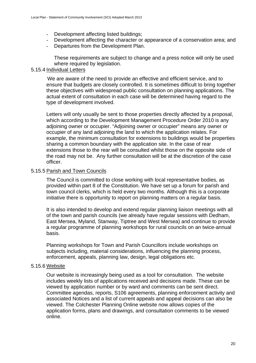- Development affecting listed buildings;
- Development affecting the character or appearance of a conservation area; and
- Departures from the Development Plan.

These requirements are subject to change and a press notice will only be used where required by legislation.

# 5.15.4 Individual Letters

 We are aware of the need to provide an effective and efficient service, and to ensure that budgets are closely controlled. It is sometimes difficult to bring together these objectives with widespread public consultation on planning applications. The actual extent of consultation in each case will be determined having regard to the type of development involved.

 Letters will only usually be sent to those properties directly affected by a proposal, which according to the Development Management Procedure Order 2010 is any adjoining owner or occupier. "Adjoining owner or occupier" means any owner or occupier of any land adjoining the land to which the application relates. For example, the minimum consultation for extensions to buildings would be properties sharing a common boundary with the application site. In the case of rear extensions those to the rear will be consulted whilst those on the opposite side of the road may not be. Any further consultation will be at the discretion of the case officer.

# 5.15.5 Parish and Town Councils

The Council is committed to close working with local representative bodies, as provided within part 8 of the Constitution. We have set up a forum for parish and town council clerks, which is held every two months. Although this is a corporate initiative there is opportunity to report on planning matters on a regular basis.

It is also intended to develop and extend regular planning liaison meetings with all of the town and parish councils (we already have regular sessions with Dedham, East Mersea, Myland, Stanway, Tiptree and West Mersea) and continue to provide a regular programme of planning workshops for rural councils on an twice-annual basis.

Planning workshops for Town and Parish Councillors include workshops on subjects including, material considerations, influencing the planning process, enforcement, appeals, planning law, design, legal obligations etc.

# 5.15.6 Website

 Our website is increasingly being used as a tool for consultation. The website includes weekly lists of applications received and decisions made. These can be viewed by application number or by ward and comments can be sent direct. Committee agendas, reports, S106 agreements, planning enforcement activity and associated Notices and a list of current appeals and appeal decisions can also be viewed. The Colchester Planning Online website now allows copies of the application forms, plans and drawings, and consultation comments to be viewed online.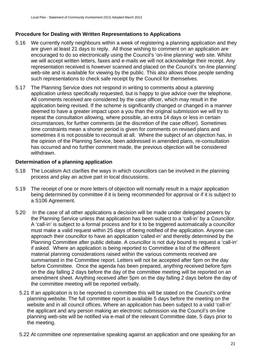# **Procedure for Dealing with Written Representations to Applications**

- 5.16 We currently notify neighbours within a week of registering a planning application and they are given at least 21 days to reply. All those wishing to comment on an application are encouraged to do so electronically using the Council's 'on-line planning' web site. Whilst we will accept written letters, faxes and e-mails we will not acknowledge their receipt. Any representation received is however scanned and placed on the Council's 'on-line planning' web-site and is available for viewing by the public. This also allows those people sending such representations to check safe receipt by the Council for themselves.
- 5.17 The Planning Service does not respond in writing to comments about a planning application unless specifically requested, but is happy to give advice over the telephone. All comments received are considered by the case officer, which may result in the application being revised. If the scheme is significantly changed or changed in a manner deemed to have a greater impact upon a you than the original submission we will try to repeat the consultation allowing, where possible, an extra 14 days or less in certain circumstances, for further comments (at the discretion of the case officer). Sometimes time constraints mean a shorter period is given for comments on revised plans and sometimes it is not possible to reconsult at all. Where the subject of an objection has, in the opinion of the Planning Service, been addressed in amended plans, re-consultation has occurred and no further comment made, the previous objection will be considered withdrawn.

# **Determination of a planning application**

- 5.18 The Localism Act clarifies the ways in which councillors can be involved in the planning process and play an active part in local discussions.
- 5.19 The receipt of one or more letters of objection will normally result in a major application being determined by committee if it is being recommended for approval or if it is subject to a S106 Agreement.
- 5.20 In the case of all other applications a decision will be made under delegated powers by the Planning Service unless that application has been subject to a 'call-in' by a Councillor. A 'call-in' is subject to a formal process and for it to be triggered automatically a councillor must make a valid request within 25 days of being notified of the application. Anyone can approach their councillor to have an application 'called-in' and thereby determined by the Planning Committee after public debate. A councillor is not duty bound to request a 'call-in' if asked. Where an application is being reported to Committee a list of the different material planning considerations raised within the various comments received are summarised in the Committee report. Letters will not be accepted after 5pm on the day before Committee. Once the agenda has been prepared, anything received before 5pm on the day falling 2 days before the day of the committee meeting will be reported on an amendment sheet. Anything received after 5pm on the day falling 2 days before the day of the committee meeting will be reported verbally.
	- 5.21 If an application is to be reported to committee this will be stated on the Council's online planning website. The full committee report is available 5 days before the meeting on the website and in all council offices. Where an application has been subject to a valid 'call-in' the applicant and any person making an electronic submission via the Council's on-line planning web-site will be notified via e-mail of the relevant Committee date, 5 days prior to the meeting.
	- 5.22 At committee one representative speaking against an application and one speaking for an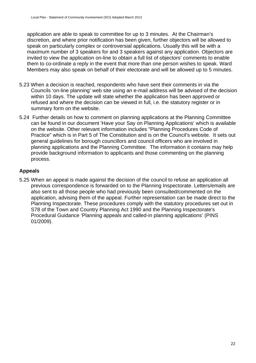application are able to speak to committee for up to 3 minutes. At the Chairman's discretion, and where prior notification has been given, further objectors will be allowed to speak on particularly complex or controversial applications. Usually this will be with a maximum number of 3 speakers for and 3 speakers against any application. Objectors are invited to view the application on-line to obtain a full list of objectors' comments to enable them to co-ordinate a reply in the event that more than one person wishes to speak. Ward Members may also speak on behalf of their electorate and will be allowed up to 5 minutes.

- 5.23 When a decision is reached, respondents who have sent their comments in via the Councils 'on-line planning' web site using an e-mail address will be advised of the decision within 10 days. The update will state whether the application has been approved or refused and where the decision can be viewed in full, i.e. the statutory register or in summary form on the website.
- 5.24 Further details on how to comment on planning applications at the Planning Committee can be found in our document 'Have your Say on Planning Applications' which is available on the website. Other relevant information includes "Planning Procedures Code of Practice" which is in Part 5 of The Constitution and is on the Council's website. It sets out general guidelines for borough councillors and council officers who are involved in planning applications and the Planning Committee. The information it contains may help provide background information to applicants and those commenting on the planning process.

# **Appeals**

5.25 When an appeal is made against the decision of the council to refuse an application all previous correspondence is forwarded on to the Planning Inspectorate. Letters/emails are also sent to all those people who had previously been consulted/commented on the application, advising them of the appeal. Further representation can be made direct to the Planning Inspectorate. These procedures comply with the statutory procedures set out in S78 of the Town and Country Planning Act 1990 and the Planning Inspectorate's [Procedural Guidance 'Planning appeals and called-in planning applications' \(PINS](http://www.planningportal.gov.uk/uploads/pins/procedural_guidance_planning_appeals.pdf)  [01/2009\)](http://www.planningportal.gov.uk/uploads/pins/procedural_guidance_planning_appeals.pdf).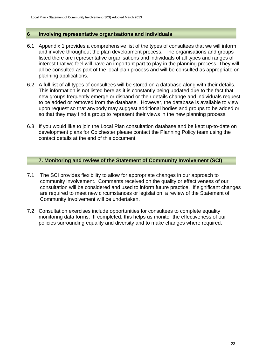# **6 Involving representative organisations and individuals**

- 6.1 Appendix 1 provides a comprehensive list of the types of consultees that we will inform and involve throughout the plan development process. The organisations and groups listed there are representative organisations and individuals of all types and ranges of interest that we feel will have an important part to play in the planning process. They will all be consulted as part of the local plan process and will be consulted as appropriate on planning applications.
- 6.2 A full list of all types of consultees will be stored on a database along with their details. This information is not listed here as it is constantly being updated due to the fact that new groups frequently emerge or disband or their details change and individuals request to be added or removed from the database. However, the database is available to view upon request so that anybody may suggest additional bodies and groups to be added or so that they may find a group to represent their views in the new planning process.
- 6.3 If you would like to join the Local Plan consultation database and be kept up-to-date on development plans for Colchester please contact the Planning Policy team using the contact details at the end of this document.

# **7. Monitoring and review of the Statement of Community Involvement (SCI)**

- 7.1 The SCI provides flexibility to allow for appropriate changes in our approach to community involvement. Comments received on the quality or effectiveness of our consultation will be considered and used to inform future practice. If significant changes are required to meet new circumstances or legislation, a review of the Statement of Community Involvement will be undertaken.
- 7.2 Consultation exercises include opportunities for consultees to complete equality monitoring data forms. If completed, this helps us monitor the effectiveness of our policies surrounding equality and diversity and to make changes where required.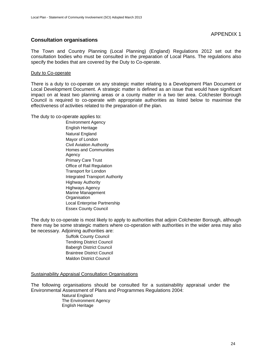### **Consultation organisations**

The Town and Country Planning (Local Planning) (England) Regulations 2012 set out the consultation bodies who must be consulted in the preparation of Local Plans. The regulations also specify the bodies that are covered by the Duty to Co-operate.

#### Duty to Co-operate

There is a duty to co-operate on any strategic matter relating to a Development Plan Document or Local Development Document. A strategic matter is defined as an issue that would have significant impact on at least two planning areas or a county matter in a two tier area. Colchester Borough Council is required to co-operate with appropriate authorities as listed below to maximise the effectiveness of activities related to the preparation of the plan.

The duty to co-operate applies to:

Environment Agency English Heritage Natural England Mayor of London Civil Aviation Authority Homes and Communities **Agency** Primary Care Trust Office of Rail Regulation Transport for London Integrated Transport Authority Highway Authority Highways Agency Marine Management **Organisation** Local Enterprise Partnership Essex County Council

The duty to co-operate is most likely to apply to authorities that adjoin Colchester Borough, although there may be some strategic matters where co-operation with authorities in the wider area may also be necessary. Adjoining authorities are:

> Suffolk County Council Tendring District Council Babergh District Council Braintree District Council Maldon District Council

Sustainability Appraisal Consultation Organisations

The following organisations should be consulted for a sustainability appraisal under the Environmental Assessment of Plans and Programmes Regulations 2004:

Natural England The Environment Agency English Heritage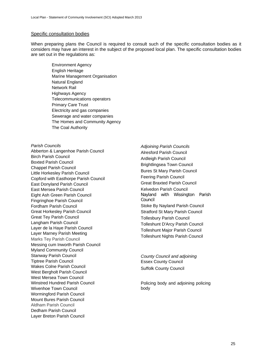#### Specific consultation bodies

When preparing plans the Council is required to consult such of the specific consultation bodies as it considers may have an interest in the subject of the proposed local plan. The specific consultation bodies are set out in the regulations as:

Environment Agency English Heritage Marine Management Organisation Natural England Network Rail Highways Agency Telecommunications operators Primary Care Trust Electricity and gas companies Sewerage and water companies The Homes and Community Agency The Coal Authority

Parish Councils **Parish Councils Parish Councils** Abberton & Langenhoe Parish Council<br>Birch Parish Council Alresford Parish Council Birch Parish Council<br>
Boxted Parish Council<br>
Chappel Parish Council<br>
Little Horkesley Parish Council<br>
Copford with Easthorpe Parish Council<br>
Copford with Easthorpe Parish Council<br>
Copford with Easthorpe Parish Council<br>
Cop East Donyland Parish Council Council Great Braxted Parish Council East Mersea Parish Council **Kelvedon Parish Council** Kelvedon Parish Council Eight Ash Green Parish Council Fingringhoe Parish Council Fordham Parish Council **Stoke By Nayland Parish Council** Stoke By Nayland Parish Council Great Horkesley Parish Council Stratford St Mary Parish Council Great Tey Parish Council **The Council Council** Tollesbury Parish Council Langham Parish Council<br>Layer de la Haye Parish Council Layer de la Haye Parish Council<br>Layer Marney Parish Meeting Tolleshunt Nights Parish Council Marks Tey Parish Council Marks Tey Parish Council Messing cum Inworth Parish Council Myland Community Council Stanway Parish Council *County Council and adjoining*  Tiptree Parish Council<br>
Wakes Colne Parish Council<br>
Wakes Colne Parish Council<br>
Council<br>
Council Wakes Colne Parish Council Suffolk County Council West Bergholt Parish Council West Bergholt Parish Council West Mersea Town Council Winstred Hundred Parish Council **Policing body and adjoining policing** Winstred Hundred Parish Council Wivenhoe Town Council body body Wormingford Parish Council Mount Bures Parish Council Aldham Parish Council Dedham Parish Council Layer Breton Parish Council

Nayland with Wissington Parish Council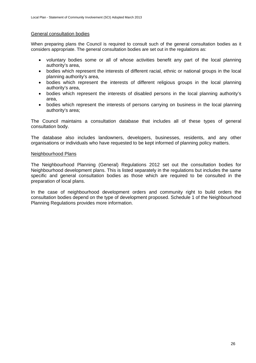#### General consultation bodies

When preparing plans the Council is required to consult such of the general consultation bodies as it considers appropriate. The general consultation bodies are set out in the regulations as:

- voluntary bodies some or all of whose activities benefit any part of the local planning authority's area,
- bodies which represent the interests of different racial, ethnic or national groups in the local planning authority's area,
- bodies which represent the interests of different religious groups in the local planning authority's area,
- bodies which represent the interests of disabled persons in the local planning authority's area,
- bodies which represent the interests of persons carrying on business in the local planning authority's area;

The Council maintains a consultation database that includes all of these types of general consultation body.

The database also includes landowners, developers, businesses, residents, and any other organisations or individuals who have requested to be kept informed of planning policy matters.

#### Neighbourhood Plans

The Neighbourhood Planning (General) Regulations 2012 set out the consultation bodies for Neighbourhood development plans. This is listed separately in the regulations but includes the same specific and general consultation bodies as those which are required to be consulted in the preparation of local plans.

In the case of neighbourhood development orders and community right to build orders the consultation bodies depend on the type of development proposed. Schedule 1 of the Neighbourhood Planning Regulations provides more information.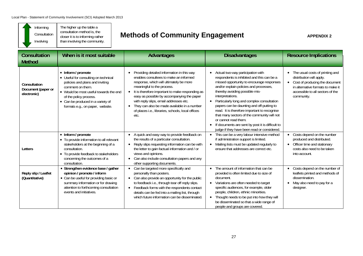'n

 $\overline{\phantom{0}}$ 

| Informing<br>The higher up the table a<br>consultation method is, the<br>Consultation<br>closer it is to informing rather<br>than involving the community.<br>Involving                                                                                                                                             |                                        |                                                                                                                                                                                                                       |                                                                                                                                                                                                                                                                                                                                                                                                              | <b>Methods of Community Engagement</b>                                                                                                                                                                                                                                                                                          | <b>APPENDIX 2</b>                                                                                                                                                                                                                                                                                                                                                                                                                                                                                                                                     |                                                                                                                                                                                                                                                                                                                                                          |                                                                                                                                            |
|---------------------------------------------------------------------------------------------------------------------------------------------------------------------------------------------------------------------------------------------------------------------------------------------------------------------|----------------------------------------|-----------------------------------------------------------------------------------------------------------------------------------------------------------------------------------------------------------------------|--------------------------------------------------------------------------------------------------------------------------------------------------------------------------------------------------------------------------------------------------------------------------------------------------------------------------------------------------------------------------------------------------------------|---------------------------------------------------------------------------------------------------------------------------------------------------------------------------------------------------------------------------------------------------------------------------------------------------------------------------------|-------------------------------------------------------------------------------------------------------------------------------------------------------------------------------------------------------------------------------------------------------------------------------------------------------------------------------------------------------------------------------------------------------------------------------------------------------------------------------------------------------------------------------------------------------|----------------------------------------------------------------------------------------------------------------------------------------------------------------------------------------------------------------------------------------------------------------------------------------------------------------------------------------------------------|--------------------------------------------------------------------------------------------------------------------------------------------|
|                                                                                                                                                                                                                                                                                                                     | <b>Consultation</b><br><b>Method</b>   | When is it most suitable                                                                                                                                                                                              |                                                                                                                                                                                                                                                                                                                                                                                                              | <b>Advantages</b>                                                                                                                                                                                                                                                                                                               |                                                                                                                                                                                                                                                                                                                                                                                                                                                                                                                                                       | <b>Disadvantages</b>                                                                                                                                                                                                                                                                                                                                     | <b>Resource Implications</b>                                                                                                               |
| • Inform / promote<br>• Useful for consulting on technical<br>policies and plans and inviting<br>Consultation<br>comment on them.<br>Document (paper or<br>• Would be most useful towards the end<br>electronic)<br>of the policy process.<br>• Can be produced in a variety of<br>formats e.g., on paper, website. |                                        | $\bullet$<br>$\bullet$<br>etc.                                                                                                                                                                                        | Providing detailed information in this way<br>enables consultees to make an informed<br>response, which will ultimately be more<br>meaningful to the process.<br>It is therefore important to make responding as<br>easy as possible by accompanying the paper<br>with reply slips, email addresses etc.<br>They can also be made available in a number<br>of places i.e., libraries, schools, local offices | $\bullet$                                                                                                                                                                                                                                                                                                                       | • Actual two-way participation with<br>respondents is inhibited and this can be a<br>missed opportunity to encourage responses<br>and/or explain policies and processes,<br>thereby avoiding possible mis-<br>interpretations.<br>• Particularly long and complex consultation<br>papers can be daunting and off-putting to<br>read. It is therefore important to recognise<br>that many sectors of the community will not<br>or cannot read them.<br>If documents are sent by post it is difficult to<br>judge if they have been read or considered. | The usual costs of printing and<br>$\bullet$<br>distribution will apply.<br>• Cost of producing the document<br>in alternative formats to make it<br>accessible to all sectors of the<br>community.                                                                                                                                                      |                                                                                                                                            |
|                                                                                                                                                                                                                                                                                                                     | Letters                                | • Inform / promote<br>• To provide information to all relevant<br>stakeholders at the beginning of a<br>consultation.<br>• To provide feedback to stakeholders<br>concerning the outcomes of a<br>consultation.       | $\bullet$<br>$\bullet$<br>views and opinions.                                                                                                                                                                                                                                                                                                                                                                | A quick and easy way to provide feedback on<br>the results of a particular consultation.<br>Reply slips requesting information can be with<br>the letter to gain factual information and / or<br>Can also include consultation papers and any<br>other supporting documents.                                                    | $\bullet$                                                                                                                                                                                                                                                                                                                                                                                                                                                                                                                                             | • This can be a very labour intensive method<br>if administration support is limited.<br>Mailing lists must be updated regularly to<br>ensure that addresses are correct etc.                                                                                                                                                                            | • Costs depend on the number<br>produced and distributed.<br>• Officer time and stationary<br>costs also need to be taken<br>into account. |
|                                                                                                                                                                                                                                                                                                                     | Reply slip / Leaflet<br>(Quantitative) | • Strengthen evidence base / gather<br>opinion / promote / inform<br>• Can be useful for providing basic or<br>summary information or for drawing<br>attention to forthcoming consultation<br>events and initiatives. |                                                                                                                                                                                                                                                                                                                                                                                                              | • Can be targeted more specifically and<br>personally than posters.<br>• Can also provide an opportunity for the public<br>to feedback i.e., through tear off reply slips.<br>• Feedback forms with the respondents contact<br>details can be fed into a mailing list, through<br>which future information can be disseminated. | $\bullet$                                                                                                                                                                                                                                                                                                                                                                                                                                                                                                                                             | The amount of information that can be<br>provided is often limited due to size of<br>document.<br>• Variations are often needed to target<br>specific audiences, for example, older<br>people, children, ethnic minorities.<br>• Thought needs to be put into how they will<br>be disseminated so that a wide range of<br>people and groups are covered. | Costs depend on the number of<br>leaflets printed and methods of<br>dissemination.<br>• May also need to pay for a<br>designer.            |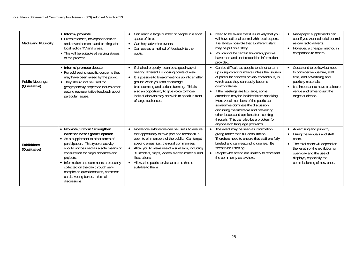| <b>Media and Publicity</b>              | • Inform / promote<br>• Press releases, newspaper articles<br>and advertisements and briefings for<br>local radio / TV and press.<br>• This will be suitable at varying stages<br>of the process.                                                                                                                                                                                                                    | Can reach a large number of people in a short<br>space of time.<br>Can help advertise events.<br>$\bullet$<br>Can use as a method of feedback to the<br>public.                                                                                                                                                                                                                                            | • Need to be aware that it is unlikely that you<br>will have editorial control with local papers.<br>It is always possible that a different slant<br>may be put on a story.<br>• You cannot be certain how many people<br>have read and understood the information<br>provided.                                                                                                                                                                                                                                                                | Newspaper supplements can<br>cost if you want editorial control<br>as can radio adverts.<br>• However, a cheaper method in<br>comparison to others.                                                                                |
|-----------------------------------------|----------------------------------------------------------------------------------------------------------------------------------------------------------------------------------------------------------------------------------------------------------------------------------------------------------------------------------------------------------------------------------------------------------------------|------------------------------------------------------------------------------------------------------------------------------------------------------------------------------------------------------------------------------------------------------------------------------------------------------------------------------------------------------------------------------------------------------------|------------------------------------------------------------------------------------------------------------------------------------------------------------------------------------------------------------------------------------------------------------------------------------------------------------------------------------------------------------------------------------------------------------------------------------------------------------------------------------------------------------------------------------------------|------------------------------------------------------------------------------------------------------------------------------------------------------------------------------------------------------------------------------------|
| <b>Public Meetings</b><br>(Qualitative) | • Inform / promote debate<br>• For addressing specific concerns that<br>may have been raised by the public.<br>• They should not be used for<br>geographically dispersed issues or for<br>getting representative feedback about<br>particular issues.                                                                                                                                                                | If chaired properly it can be a good way of<br>$\bullet$<br>hearing different / opposing points of view.<br>It is possible to break meetings up into smaller<br>groups when you can encourage<br>brainstorming and action planning. This is<br>also an opportunity to give voice to those<br>individuals who may not wish to speak in front<br>of large audiences.                                         | • Can be difficult, as people tend not to turn<br>up in significant numbers unless the issue is<br>of particular concern or very contentious, in<br>which case they can easily become<br>confrontational.<br>• If the meetings are too large, some<br>attendees may be inhibited from speaking.<br>More vocal members of the public can<br>sometimes dominate the discussion,<br>disrupting the timetable and preventing<br>other issues and opinions from coming<br>through. This can also be a problem for<br>anyone with language problems. | • Costs tend to be low but need<br>to consider venue hire, staff<br>time, and advertising and<br>publicity materials.<br>It is important to have a suitable<br>venue and times to suit the<br>target audience.                     |
| <b>Exhibitions</b><br>(Qualitative)     | • Promote / inform / strengthen<br>evidence base / gather opinion.<br>• As a supplement to other forms of<br>participation. This type of activity<br>should not be used as a sole means of<br>consultation for major schemes and<br>projects.<br>• Information and comments are usually<br>collected on the day through self-<br>completion questionnaires, comment<br>cards, voting boxes, informal<br>discussions. | Roadshow exhibitions can be useful to ensure<br>$\bullet$<br>that opportunity to take part and feedback is<br>open to all members of the public. Can target<br>specific areas, i.e., the rural communities.<br>• Allow you to make use of visual aids, including<br>3D models, maps, videos, written material and<br>illustrations.<br>• Allows the public to visit at a time that is<br>suitable to them. | • The event may be seen as information<br>giving rather than full consultation.<br>Therefore need to ensure that staff are fully<br>briefed and can respond to queries. Be<br>seen to be listening.<br>• People who attend are unlikely to represent<br>the community as a whole.                                                                                                                                                                                                                                                              | • Advertising and publicity.<br>Hiring the venue/s and staff<br>costs.<br>• The total costs will depend on<br>the length of the exhibition or<br>open day and the use of<br>displays, especially the<br>commissioning of new ones. |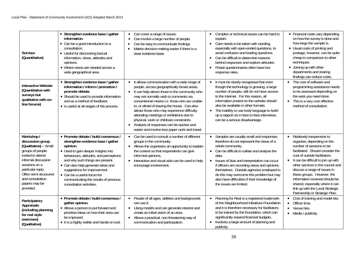| Surveys<br>(Quantitative)                                                                                                                                                                                                                | • Strengthen evidence base / gather<br>information.<br>• Can be a good introduction to a<br>consultation.<br>• Useful for discovering factual<br>information, views, attitudes and<br>opinions.<br>• Where views are needed across a<br>wide geographical area.                                                                                                                      | Can cover a range of issues.<br>$\bullet$<br>Can involve a large number of people.<br>$\bullet$<br>Can be easy to communicate findings.<br>$\bullet$<br>Makes decision-making easier if there is a<br>$\bullet$<br>clear evidence base.                                                                                                                                                                                                                                                                                                                           | • Complex or technical issues can be hard to<br>explain.<br>• Care needs to be taken with wording,<br>especially with open-ended questions, to<br>avoid confusion and leading questions.<br>• Can be difficult to determine reasons<br>behind responses and explore attitudes.<br>• Postal questionnaires often have low<br>response rates.                                                                                               | • Financial costs vary depending<br>on how the survey is done and<br>how large the sample is.<br>• Usual costs of printing and<br>postage, however, can be quite<br>cheap in comparison to other<br>techniques.<br>• Joining up with other<br>departments and sharing<br>findings can reduce costs.                                                                                                                                                          |
|------------------------------------------------------------------------------------------------------------------------------------------------------------------------------------------------------------------------------------------|--------------------------------------------------------------------------------------------------------------------------------------------------------------------------------------------------------------------------------------------------------------------------------------------------------------------------------------------------------------------------------------|-------------------------------------------------------------------------------------------------------------------------------------------------------------------------------------------------------------------------------------------------------------------------------------------------------------------------------------------------------------------------------------------------------------------------------------------------------------------------------------------------------------------------------------------------------------------|-------------------------------------------------------------------------------------------------------------------------------------------------------------------------------------------------------------------------------------------------------------------------------------------------------------------------------------------------------------------------------------------------------------------------------------------|--------------------------------------------------------------------------------------------------------------------------------------------------------------------------------------------------------------------------------------------------------------------------------------------------------------------------------------------------------------------------------------------------------------------------------------------------------------|
| <b>Interactive Website</b><br>(Quantitative with<br>surveys but<br>qualitative with on-<br>line forums)                                                                                                                                  | • Strengthen evidence base / gather<br>information / inform / promotion /<br>promote debate.<br>• Should be used to provide information<br>and as a method of feedback.<br>• Is useful at all stages of the process.                                                                                                                                                                 | It allows communication with a wide range of<br>$\bullet$<br>people, across geographically broad areas.<br>It can help attract those in the community who<br>$\bullet$<br>may not normally wish to comments via<br>conventional means i.e. those who are unable<br>to, or afraid of leaving the house. Can also<br>attract those who may experience difficulty<br>attending meetings or exhibitions due to<br>physical, work or childcare constraints.<br>Analysis of responses can be quicker and<br>$\bullet$<br>easier and involve less paper work and travel. | • It must be clearly recognised that even<br>though the technology is growing, a large<br>number of people, still do not have access<br>to the Internet. For this reason, all<br>information posted on the website should<br>also be available in other formats.<br>• The inability to use body language to build<br>up a rapport as in face to face interviews,<br>can be a serious disadvantage.                                        | • The cost of software and<br>programming assistance needs<br>to be assessed depending on<br>the work you need done.<br>This is a very cost effective<br>method of consultation.                                                                                                                                                                                                                                                                             |
| Workshop /<br>discussion group<br>(Qualitative) - Small<br>groups of people<br>invited to attend<br>informal discussion<br>sessions on a<br>particular topic.<br>Often semi structured<br>and consultation<br>papers may be<br>provided. | • Promote debate / build consensus /<br>strengthen evidence base / gather<br>opinion.<br>• Used to gain deeper insights into<br>behaviours, attitudes, and perceptions<br>and why such things are present.<br>• Can also help generate ideas and<br>suggestions for improvement.<br>• Can be a useful forum for<br>communicating the results of previous<br>consultation activities. | Can be used to consult a number of different<br>$\bullet$<br>groups in the community.<br>Allows the organisers an opportunity to explain<br>$\bullet$<br>the context so that respondents can give<br>informed opinions.<br>Interactive and visual aids can be used to help<br>$\bullet$<br>encourage involvement.                                                                                                                                                                                                                                                 | • Samples are usually small and responses<br>therefore do not represent the views of a<br>whole community.<br>• Can be difficult to collate and analyse the<br>data.<br>• Issues of bias and interpretation can occur<br>if officers are recording views and opinions<br>themselves. Outside agencies employed to<br>do this may overcome this problem but may<br>also have difficulties if their knowledge of<br>the issues are limited. | Relatively inexpensive to<br>$\bullet$<br>organise, depending on the<br>number of sessions to be<br>facilitated. Should consider the<br>cost of outside facilitators.<br>• It can be difficult to join up with<br>other services in the council and<br>discuss a range of issues in<br>these groups. However, the<br>information received should be<br>shared, especially where it can<br>link up with the Local Strategic<br>Partnership or Strategic Plan. |
| Participatory<br>Appraisals<br>(including planning<br>for real style<br>exercises)<br>(Qualitative)                                                                                                                                      | • Promote debate / build consensus /<br>gather opinion.<br>• Allows a person to put forward and<br>prioritise ideas on how their area can<br>be improved.<br>• It is a highly visible and hands-on tool.                                                                                                                                                                             | People of all ages, abilities and backgrounds<br>$\bullet$<br>can use it.<br>Using models and can generate interest and<br>$\bullet$<br>create an initial vision of an area.<br>Allows a practical, non-threatening way of<br>$\bullet$<br>communication and participation.                                                                                                                                                                                                                                                                                       | • Planning for Real is a registered trademark<br>of the Neighbourhood Initiatives Foundation<br>and it is therefore necessary for facilitators<br>to be trained by the foundation, which can<br>significantly expand financial budgets.<br>• Involves a large amount of planning and<br>publicity.                                                                                                                                        | Cost of training and model kits.<br>• Officer time.<br>Venue hire.<br>$\bullet$ Media / publicity.                                                                                                                                                                                                                                                                                                                                                           |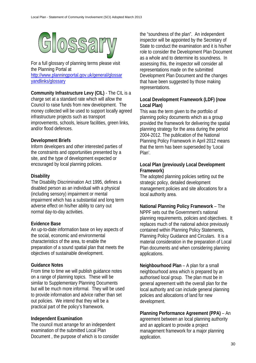

For a full glossary of planning terms please visit the Planning Portal at [http://www.planningportal.gov.uk/general/glossar](http://www.planningportal.gov.uk/general/glossaryandlinks/glossary) [yandlinks/glossary](http://www.planningportal.gov.uk/general/glossaryandlinks/glossary)

**Community Infrastructure Levy (CIL)** - The CIL is a charge set at a standard rate which will allow the Council to raise funds from new development. The money collected will be used to support locally agreed infrastructure projects such as transport improvements, schools, leisure facilities, green links, and/or flood defences.

# **Development Briefs**

Inform developers and other interested parties of the constraints and opportunities presented by a site, and the type of development expected or encouraged by local planning policies.

# **Disability**

The Disability Discrimination Act 1995, defines a disabled person as an individual with a physical (including sensory) impairment or mental impairment which has a substantial and long term adverse effect on his/her ability to carry out normal day-to-day activities.

# **Evidence Base**

An up-to-date information base on key aspects of the social, economic and environmental characteristics of the area, to enable the preparation of a sound spatial plan that meets the objectives of sustainable development.

# **Guidance Notes**

From time to time we will publish guidance notes on a range of planning topics. These will be similar to Supplementary Planning Documents but will be much more informal. They will be used to provide information and advice rather than set out policies. We intend that they will be a practical part of the policy's framework.

# **Independent Examination**

The council must arrange for an independent examination of the submitted Local Plan Document , the purpose of which is to consider the "soundness of the plan". An independent inspector will be appointed by the Secretary of State to conduct the examination and it is his/her role to consider the Development Plan Document as a whole and to determine its soundness. In assessing this, the inspector will consider all representations made on the submitted Development Plan Document and the changes that have been suggested by those making representations.

# **Local Development Framework (LDF) (now Local Plan)**

This was the term given to the portfolio of planning policy documents which as a group provided the framework for delivering the spatial planning strategy for the area during the period 2004-2012. The publication of the National Planning Policy Framework in April 2012 means that the term has been superseded by 'Local Plan'.

# **Local Plan (previously Local Development Framework)**

The adopted planning policies setting out the strategic policy, detailed development management policies and site allocations for a local authority area.

# **National Planning Policy Framework** – The

NPPF sets out the Government's national planning requirements, policies and objectives. It replaces much of the national advice previously contained within Planning Policy Statements, Planning Policy Guidance and Circulars. It is a material consideration in the preparation of Local Plan documents and when considering planning applications.

**Neighbourhood Plan** – A plan for a small neighbourhood area which is prepared by an authorised local group. The plan must be in general agreement with the overall plan for the local authority and can include general planning policies and allocations of land for new development.

# **Planning Performance Agreement (PPA)** – An

agreement between an local planning authority and an applicant to provide a project management framework for a major planning application.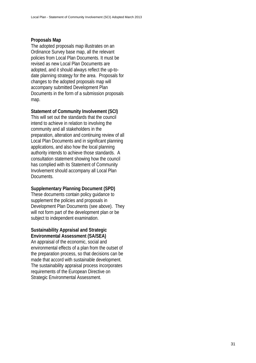#### **Proposals Map**

The adopted proposals map illustrates on an Ordinance Survey base map, all the relevant policies from Local Plan Documents. It must be revised as new Local Plan Documents are adopted, and it should always reflect the up-todate planning strategy for the area. Proposals for changes to the adopted proposals map will accompany submitted Development Plan Documents in the form of a submission proposals map.

# **Statement of Community Involvement (SCI)**

This will set out the standards that the council intend to achieve in relation to involving the community and all stakeholders in the preparation, alteration and continuing review of all Local Plan Documents and in significant planning applications, and also how the local planning authority intends to achieve those standards. A consultation statement showing how the council has complied with its Statement of Community Involvement should accompany all Local Plan Documents.

#### **Supplementary Planning Document (SPD)**

These documents contain policy guidance to supplement the policies and proposals in Development Plan Documents (see above). They will not form part of the development plan or be subject to independent examination.

# **Sustainability Appraisal and Strategic Environmental Assessment (SA/SEA)**

An appraisal of the economic, social and environmental effects of a plan from the outset of the preparation process, so that decisions can be made that accord with sustainable development. The sustainability appraisal process incorporates requirements of the European Directive on Strategic Environmental Assessment.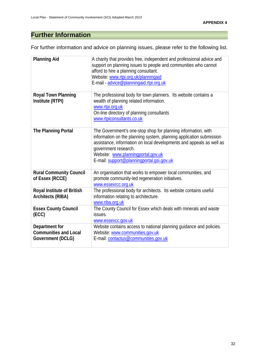# **Further Information**

For further information and advice on planning issues, please refer to the following list.

| <b>Planning Aid</b>                                                 | A charity that provides free, independent and professional advice and<br>support on planning issues to people and communities who cannot<br>afford to hire a planning consultant.<br>Website: www.rtpi.org.uk/planningaid<br>E-mail - advice@planningaid.rtpi.org.uk                                                    |
|---------------------------------------------------------------------|-------------------------------------------------------------------------------------------------------------------------------------------------------------------------------------------------------------------------------------------------------------------------------------------------------------------------|
| <b>Royal Town Planning</b><br>Institute (RTPI)                      | The professional body for town planners. Its website contains a<br>wealth of planning related information.<br>www.rtpi.org.uk<br>On-line directory of planning consultants<br>www.rtpiconsultants.co.uk                                                                                                                 |
| The Planning Portal                                                 | The Government's one-stop shop for planning information, with<br>information on the planning system, planning application submission<br>assistance, information on local developments and appeals as well as<br>government research.<br>Website: www.planningportal.gov.uk<br>E-mail: support@planningportal.gsi.gov.uk |
| <b>Rural Community Council</b><br>of Essex (RCCE)                   | An organisation that works to empower local communities, and<br>promote community-led regeneration initiatives.<br>www.essexrcc.org.uk                                                                                                                                                                                  |
| <b>Royal Institute of British</b><br><b>Architects (RIBA)</b>       | The professional body for architects. Its website contains useful<br>information relating to architecture.<br>www.riba.org.uk                                                                                                                                                                                           |
| <b>Essex County Council</b><br>(ECC)                                | The County Council for Essex which deals with minerals and waste<br>issues.<br>www.essexcc.gov.uk                                                                                                                                                                                                                       |
| Department for<br><b>Communities and Local</b><br>Government (DCLG) | Website contains access to national planning guidance and policies.<br>Website: www.communities.gov.uk<br>E-mail: contactus@communities.gov.uk                                                                                                                                                                          |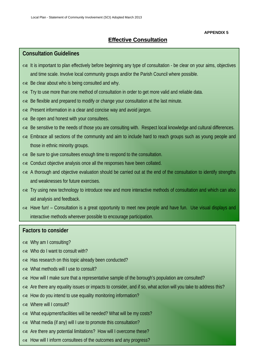#### **APPENDIX 5**

33

# **Effective Consultation**

# **Consultation Guidelines**

- $\infty$  It is important to plan effectively before beginning any type of consultation be clear on your aims, objectives and time scale. Involve local community groups and/or the Parish Council where possible.
- $\infty$  Be clear about who is being consulted and why.
- $\alpha$  Try to use more than one method of consultation in order to get more valid and reliable data.
- $\infty$  Be flexible and prepared to modify or change your consultation at the last minute.
- $\infty$  Present information in a clear and concise way and avoid jargon.
- $\infty$  Be open and honest with your consultees.
- $\infty$  Be sensitive to the needs of those you are consulting with. Respect local knowledge and cultural differences.
- $\infty$  Embrace all sections of the community and aim to include hard to reach groups such as young people and those in ethnic minority groups.
- $\infty$  Be sure to give consultees enough time to respond to the consultation.
- $\infty$  Conduct objective analysis once all the responses have been collated.
- $\infty$  A thorough and objective evaluation should be carried out at the end of the consultation to identify strengths and weaknesses for future exercises.
- $\infty$  Try using new technology to introduce new and more interactive methods of consultation and which can also aid analysis and feedback.
- $\alpha$  Have fun! Consultation is a great opportunity to meet new people and have fun. Use visual displays and interactive methods wherever possible to encourage participation.

# **Factors to consider**

- $\infty$  Why am I consulting?
- $\infty$  Who do I want to consult with?
- $\infty$  Has research on this topic already been conducted?
- $\infty$  What methods will Luse to consult?
- $\infty$  How will I make sure that a representative sample of the borough's population are consulted?
- $\alpha$  Are there any equality issues or impacts to consider, and if so, what action will you take to address this?
- $\infty$  How do you intend to use equality monitoring information?
- $\infty$  Where will I consult?
- $\infty$  What equipment/facilities will be needed? What will be my costs?
- $\infty$  What media (if any) will I use to promote this consultation?
- $\infty$  Are there any potential limitations? How will I overcome these?
- $\infty$  How will I inform consultees of the outcomes and any progress?